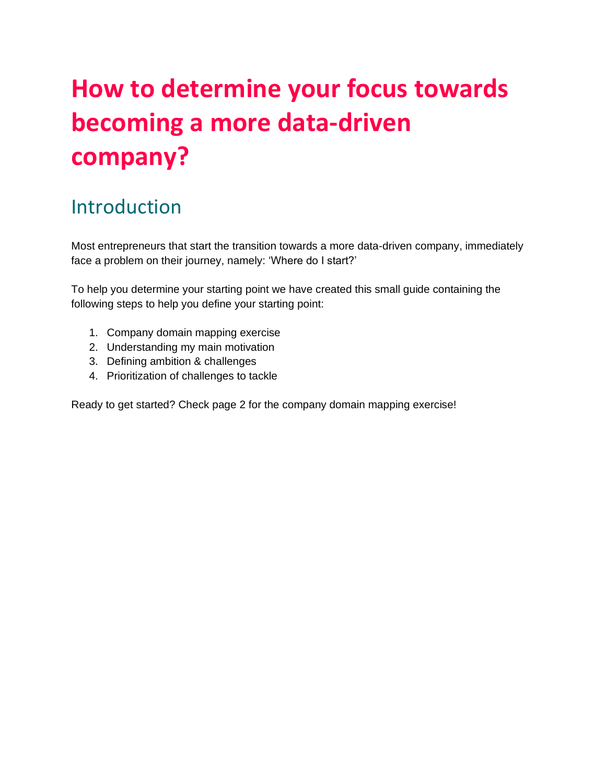# **How to determine your focus towards becoming a more data-driven company?**

## Introduction

Most entrepreneurs that start the transition towards a more data-driven company, immediately face a problem on their journey, namely: 'Where do I start?'

To help you determine your starting point we have created this small guide containing the following steps to help you define your starting point:

- 1. Company domain mapping exercise
- 2. Understanding my main motivation
- 3. Defining ambition & challenges
- 4. Prioritization of challenges to tackle

Ready to get started? Check page 2 for the company domain mapping exercise!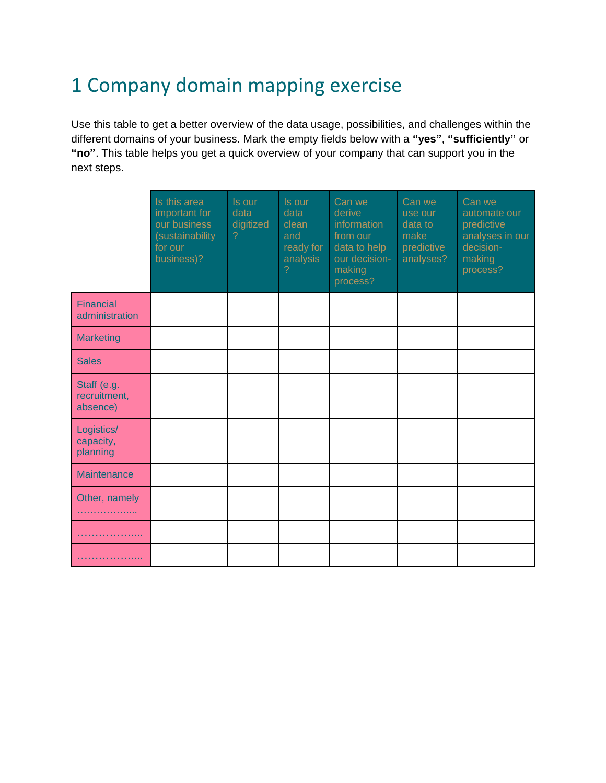## 1 Company domain mapping exercise

Use this table to get a better overview of the data usage, possibilities, and challenges within the different domains of your business. Mark the empty fields below with a **"yes"**, **"sufficiently"** or **"no"**. This table helps you get a quick overview of your company that can support you in the next steps.

|                                         | Is this area<br>important for<br>our business<br>(sustainability<br>for our<br>business)? | Is our<br>data<br>digitized<br>$\overline{?}$ | Is our<br>data<br>clean<br>and<br>ready for<br>analysis<br>? | Can we<br>derive<br>information<br>from our<br>data to help<br>our decision-<br>making<br>process? | Can we<br>use our<br>data to<br>make<br>predictive<br>analyses? | Can we<br>automate our<br>predictive<br>analyses in our<br>decision-<br>making<br>process? |
|-----------------------------------------|-------------------------------------------------------------------------------------------|-----------------------------------------------|--------------------------------------------------------------|----------------------------------------------------------------------------------------------------|-----------------------------------------------------------------|--------------------------------------------------------------------------------------------|
| Financial<br>administration             |                                                                                           |                                               |                                                              |                                                                                                    |                                                                 |                                                                                            |
| <b>Marketing</b>                        |                                                                                           |                                               |                                                              |                                                                                                    |                                                                 |                                                                                            |
| <b>Sales</b>                            |                                                                                           |                                               |                                                              |                                                                                                    |                                                                 |                                                                                            |
| Staff (e.g.<br>recruitment,<br>absence) |                                                                                           |                                               |                                                              |                                                                                                    |                                                                 |                                                                                            |
| Logistics/<br>capacity,<br>planning     |                                                                                           |                                               |                                                              |                                                                                                    |                                                                 |                                                                                            |
| <b>Maintenance</b>                      |                                                                                           |                                               |                                                              |                                                                                                    |                                                                 |                                                                                            |
| Other, namely<br>.                      |                                                                                           |                                               |                                                              |                                                                                                    |                                                                 |                                                                                            |
|                                         |                                                                                           |                                               |                                                              |                                                                                                    |                                                                 |                                                                                            |
| .                                       |                                                                                           |                                               |                                                              |                                                                                                    |                                                                 |                                                                                            |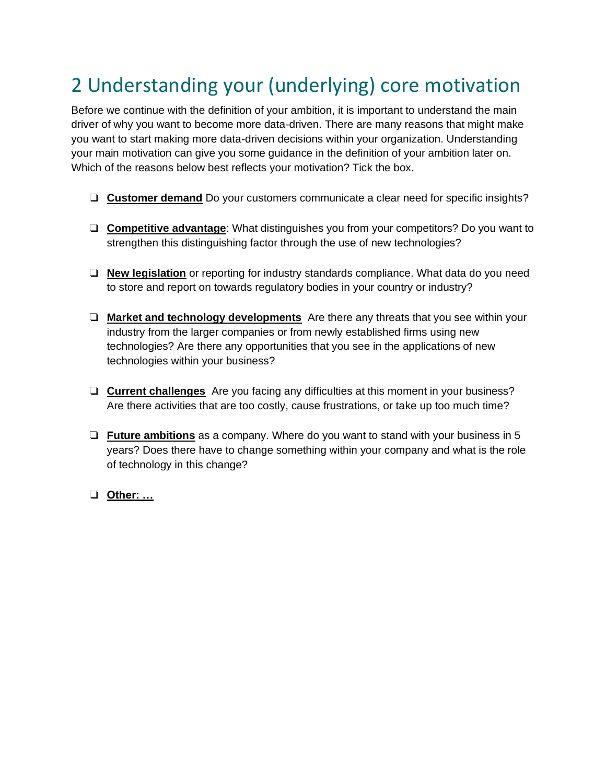## 2 Understanding your (underlying) core motivation

Before we continue with the definition of your ambition, it is important to understand the main driver of why you want to become more data-driven. There are many reasons that might make you want to start making more data-driven decisions within your organization. Understanding your main motivation can give you some guidance in the definition of your ambition later on. Which of the reasons below best reflects your motivation? Tick the box.

- ❏ **Customer demand** Do your customers communicate a clear need for specific insights?
- ❏ **Competitive advantage**: What distinguishes you from your competitors? Do you want to strengthen this distinguishing factor through the use of new technologies?
- ❏ **New legislation** or reporting for industry standards compliance. What data do you need to store and report on towards regulatory bodies in your country or industry?
- ❏ **Market and technology developments** Are there any threats that you see within your industry from the larger companies or from newly established firms using new technologies? Are there any opportunities that you see in the applications of new technologies within your business?
- ❏ **Current challenges** Are you facing any difficulties at this moment in your business? Are there activities that are too costly, cause frustrations, or take up too much time?
- ❏ **Future ambitions** as a company. Where do you want to stand with your business in 5 years? Does there have to change something within your company and what is the role of technology in this change?
- ❏ **Other: …**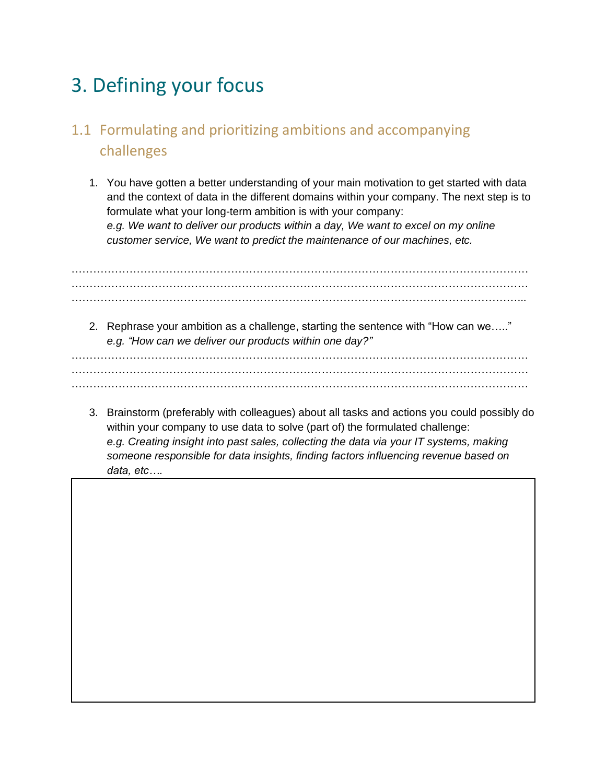## 3. Defining your focus

### 1.1 Formulating and prioritizing ambitions and accompanying challenges

1. You have gotten a better understanding of your main motivation to get started with data and the context of data in the different domains within your company. The next step is to formulate what your long-term ambition is with your company: *e.g. We want to deliver our products within a day, We want to excel on my online customer service, We want to predict the maintenance of our machines, etc.*

……………………………………………………………………………………………………………… ……………………………………………………………………………………………………………...

2. Rephrase your ambition as a challenge, starting the sentence with "How can we….." *e.g. "How can we deliver our products within one day?"*

……………………………………………………………………………………………………………… ……………………………………………………………………………………………………………… ………………………………………………………………………………………………………………

3. Brainstorm (preferably with colleagues) about all tasks and actions you could possibly do within your company to use data to solve (part of) the formulated challenge: *e.g. Creating insight into past sales, collecting the data via your IT systems, making someone responsible for data insights, finding factors influencing revenue based on data, etc….*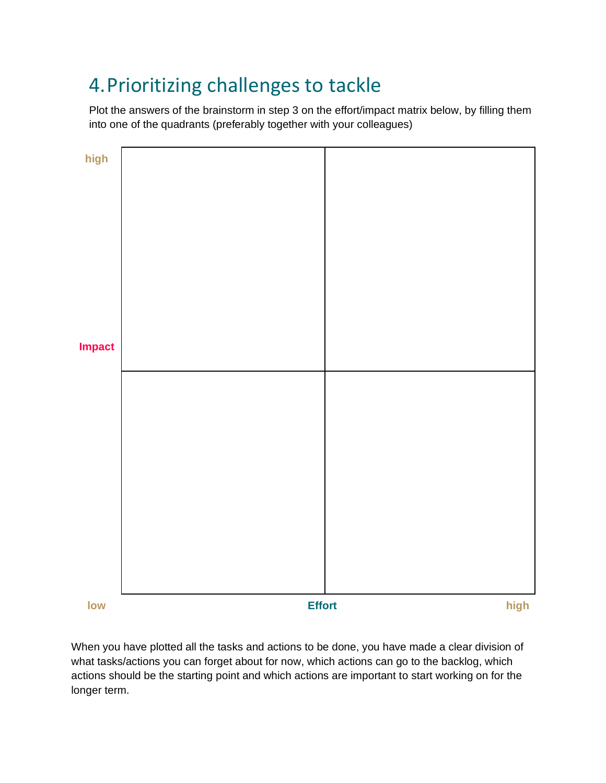## 4.Prioritizing challenges to tackle

Plot the answers of the brainstorm in step 3 on the effort/impact matrix below, by filling them into one of the quadrants (preferably together with your colleagues)



When you have plotted all the tasks and actions to be done, you have made a clear division of what tasks/actions you can forget about for now, which actions can go to the backlog, which actions should be the starting point and which actions are important to start working on for the longer term.